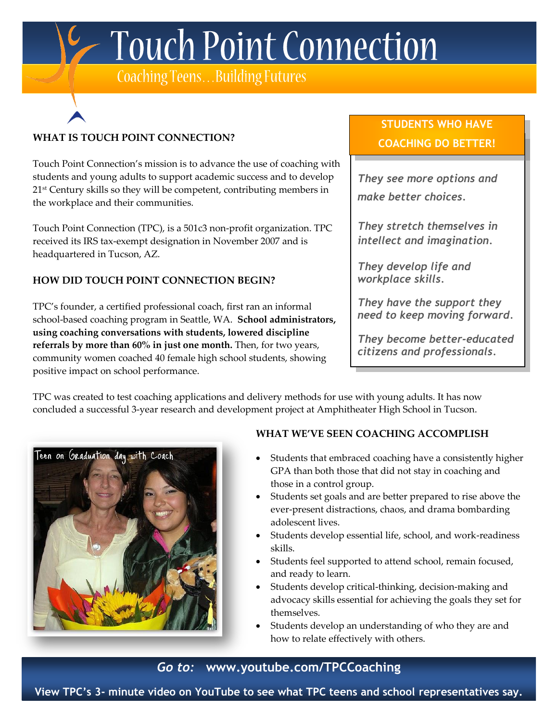1- Touch Point Connection

Coaching Teens... Building Futures

## **WHAT IS TOUCH POINT CONNECTION?**

Touch Point Connection's mission is to advance the use of coaching with students and young adults to support academic success and to develop 21<sup>st</sup> Century skills so they will be competent, contributing members in the workplace and their communities.

Touch Point Connection (TPC), is a 501c3 non-profit organization. TPC received its IRS tax-exempt designation in November 2007 and is headquartered in Tucson, AZ.

### **HOW DID TOUCH POINT CONNECTION BEGIN?**

TPC's founder, a certified professional coach, first ran an informal school-based coaching program in Seattle, WA. **School administrators, using coaching conversations with students, lowered discipline referrals by more than 60% in just one month.** Then, for two years, community women coached 40 female high school students, showing positive impact on school performance.

## **STUDENTS WHO HAVE COACHING DO BETTER!**

*They see more options and make better choices.*

*They stretch themselves in intellect and imagination.*

*They develop life and workplace skills.*

*They have the support they need to keep moving forward.*

*They become better-educated citizens and professionals.*

TPC was created to test coaching applications and delivery methods for use with young adults. It has now concluded a successful 3-year research and development project at Amphitheater High School in Tucson.



### **WHAT WE'VE SEEN COACHING ACCOMPLISH**

- Students that embraced coaching have a consistently higher GPA than both those that did not stay in coaching and those in a control group.
- Students set goals and are better prepared to rise above the ever-present distractions, chaos, and drama bombarding adolescent lives.
- Students develop essential life, school, and work-readiness skills.
- Students feel supported to attend school, remain focused, and ready to learn.
- Students develop critical-thinking, decision-making and advocacy skills essential for achieving the goals they set for themselves.
- Students develop an understanding of who they are and how to relate effectively with others.

## *Go to:* **www.youtube.com/TPCCoaching**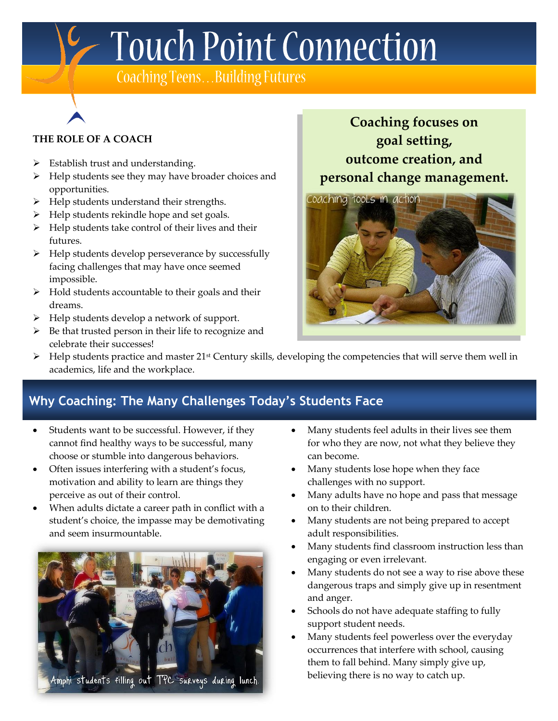C Touch Point Connection

Coaching Teens... Building Futures

#### **THE ROLE OF A COACH**

- $\triangleright$  Establish trust and understanding.
- $\triangleright$  Help students see they may have broader choices and opportunities.
- $\blacktriangleright$  Help students understand their strengths.
- $\blacktriangleright$  Help students rekindle hope and set goals.
- $\triangleright$  Help students take control of their lives and their futures.
- $\triangleright$  Help students develop perseverance by successfully facing challenges that may have once seemed impossible.
- $\triangleright$  Hold students accountable to their goals and their dreams.
- $\triangleright$  Help students develop a network of support.
- $\triangleright$  Be that trusted person in their life to recognize and celebrate their successes!

# **Coaching focuses on goal setting, outcome creation, and personal change management.**



 $\triangleright$  Help students practice and master 21<sup>st</sup> Century skills, developing the competencies that will serve them well in academics, life and the workplace.

## **Why Coaching: The Many Challenges Today's Students Face**

- Students want to be successful. However, if they cannot find healthy ways to be successful, many choose or stumble into dangerous behaviors.
- Often issues interfering with a student's focus, motivation and ability to learn are things they perceive as out of their control.
- When adults dictate a career path in conflict with a student's choice, the impasse may be demotivating and seem insurmountable.



- Many students feel adults in their lives see them for who they are now, not what they believe they can become.
- Many students lose hope when they face challenges with no support.
- Many adults have no hope and pass that message on to their children.
- Many students are not being prepared to accept adult responsibilities.
- Many students find classroom instruction less than engaging or even irrelevant.
- Many students do not see a way to rise above these dangerous traps and simply give up in resentment and anger.
- Schools do not have adequate staffing to fully support student needs.
- Many students feel powerless over the everyday occurrences that interfere with school, causing them to fall behind. Many simply give up, believing there is no way to catch up.